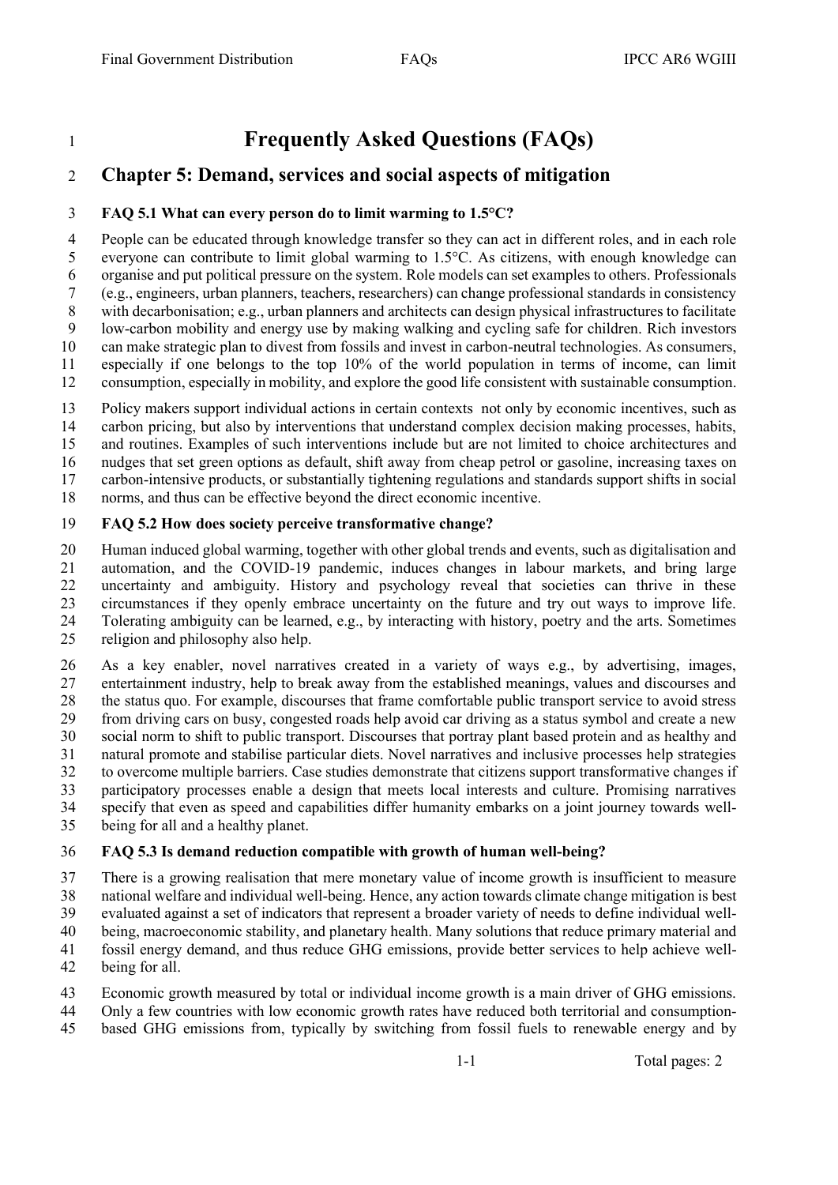# **Frequently Asked Questions (FAQs)**

## **Chapter 5: Demand, services and social aspects of mitigation**

#### **FAQ 5.1 What can every person do to limit warming to 1.5°C?**

 People can be educated through knowledge transfer so they can act in different roles, and in each role everyone can contribute to limit global warming to 1.5°C. As citizens, with enough knowledge can organise and put political pressure on the system. Role models can set examples to others. Professionals (e.g., engineers, urban planners, teachers, researchers) can change professional standards in consistency with decarbonisation; e.g., urban planners and architects can design physical infrastructures to facilitate low-carbon mobility and energy use by making walking and cycling safe for children. Rich investors can make strategic plan to divest from fossils and invest in carbon-neutral technologies. As consumers, especially if one belongs to the top 10% of the world population in terms of income, can limit consumption, especially in mobility, and explore the good life consistent with sustainable consumption.

 Policy makers support individual actions in certain contexts not only by economic incentives, such as carbon pricing, but also by interventions that understand complex decision making processes, habits, and routines. Examples of such interventions include but are not limited to choice architectures and nudges that set green options as default, shift away from cheap petrol or gasoline, increasing taxes on

carbon-intensive products, or substantially tightening regulations and standards support shifts in social

norms, and thus can be effective beyond the direct economic incentive.

#### **FAQ 5.2 How does society perceive transformative change?**

 Human induced global warming, together with other global trends and events, such as digitalisation and automation, and the COVID-19 pandemic, induces changes in labour markets, and bring large uncertainty and ambiguity. History and psychology reveal that societies can thrive in these circumstances if they openly embrace uncertainty on the future and try out ways to improve life. Tolerating ambiguity can be learned, e.g., by interacting with history, poetry and the arts. Sometimes religion and philosophy also help.

 As a key enabler, novel narratives created in a variety of ways e.g., by advertising, images, entertainment industry, help to break away from the established meanings, values and discourses and the status quo. For example, discourses that frame comfortable public transport service to avoid stress from driving cars on busy, congested roads help avoid car driving as a status symbol and create a new social norm to shift to public transport. Discourses that portray plant based protein and as healthy and natural promote and stabilise particular diets. Novel narratives and inclusive processes help strategies to overcome multiple barriers. Case studies demonstrate that citizens support transformative changes if participatory processes enable a design that meets local interests and culture. Promising narratives specify that even as speed and capabilities differ humanity embarks on a joint journey towards well-being for all and a healthy planet.

### **FAQ 5.3 Is demand reduction compatible with growth of human well-being?**

 There is a growing realisation that mere monetary value of income growth is insufficient to measure national welfare and individual well-being. Hence, any action towards climate change mitigation is best

evaluated against a set of indicators that represent a broader variety of needs to define individual well-

being, macroeconomic stability, and planetary health. Many solutions that reduce primary material and

- fossil energy demand, and thus reduce GHG emissions, provide better services to help achieve well-
- being for all.
- Economic growth measured by total or individual income growth is a main driver of GHG emissions.
- Only a few countries with low economic growth rates have reduced both territorial and consumption-
- based GHG emissions from, typically by switching from fossil fuels to renewable energy and by

1-1 Total pages: 2